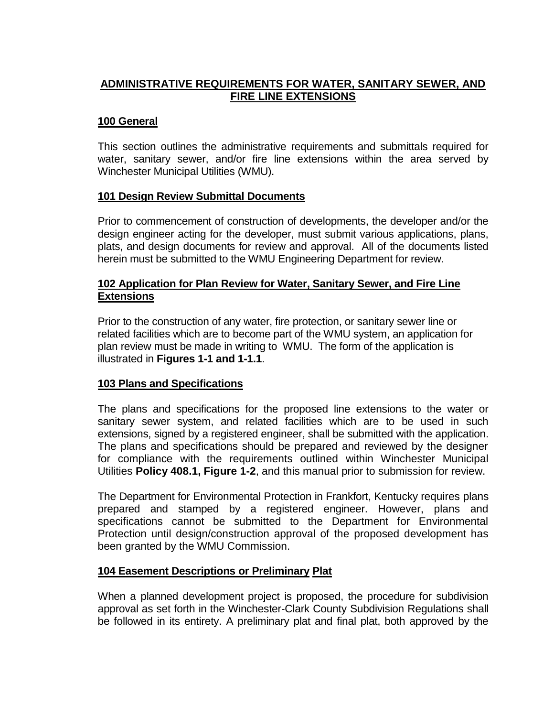## **ADMINISTRATIVE REQUIREMENTS FOR WATER, SANITARY SEWER, AND FIRE LINE EXTENSIONS**

## **100 General**

This section outlines the administrative requirements and submittals required for water, sanitary sewer, and/or fire line extensions within the area served by Winchester Municipal Utilities (WMU).

## **101 Design Review Submittal Documents**

Prior to commencement of construction of developments, the developer and/or the design engineer acting for the developer, must submit various applications, plans, plats, and design documents for review and approval. All of the documents listed herein must be submitted to the WMU Engineering Department for review.

## **102 Application for Plan Review for Water, Sanitary Sewer, and Fire Line Extensions**

Prior to the construction of any water, fire protection, or sanitary sewer line or related facilities which are to become part of the WMU system, an application for plan review must be made in writing to WMU. The form of the application is illustrated in **Figures 1-1 and 1-1.1**.

## **103 Plans and Specifications**

The plans and specifications for the proposed line extensions to the water or sanitary sewer system, and related facilities which are to be used in such extensions, signed by a registered engineer, shall be submitted with the application. The plans and specifications should be prepared and reviewed by the designer for compliance with the requirements outlined within Winchester Municipal Utilities **Policy 408.1, Figure 1-2**, and this manual prior to submission for review.

The Department for Environmental Protection in Frankfort, Kentucky requires plans prepared and stamped by a registered engineer. However, plans and specifications cannot be submitted to the Department for Environmental Protection until design/construction approval of the proposed development has been granted by the WMU Commission.

## **104 Easement Descriptions or Preliminary Plat**

When a planned development project is proposed, the procedure for subdivision approval as set forth in the Winchester-Clark County Subdivision Regulations shall be followed in its entirety. A preliminary plat and final plat, both approved by the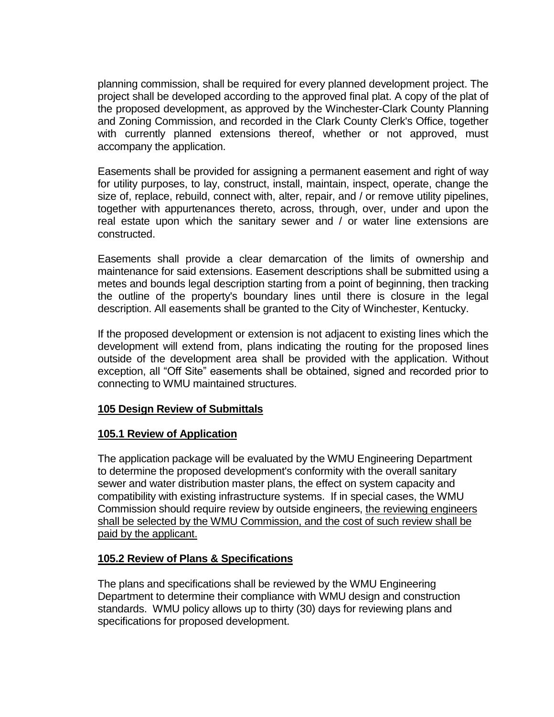planning commission, shall be required for every planned development project. The project shall be developed according to the approved final plat. A copy of the plat of the proposed development, as approved by the Winchester-Clark County Planning and Zoning Commission, and recorded in the Clark County Clerk's Office, together with currently planned extensions thereof, whether or not approved, must accompany the application.

Easements shall be provided for assigning a permanent easement and right of way for utility purposes, to lay, construct, install, maintain, inspect, operate, change the size of, replace, rebuild, connect with, alter, repair, and / or remove utility pipelines, together with appurtenances thereto, across, through, over, under and upon the real estate upon which the sanitary sewer and / or water line extensions are constructed.

Easements shall provide a clear demarcation of the limits of ownership and maintenance for said extensions. Easement descriptions shall be submitted using a metes and bounds legal description starting from a point of beginning, then tracking the outline of the property's boundary lines until there is closure in the legal description. All easements shall be granted to the City of Winchester, Kentucky.

If the proposed development or extension is not adjacent to existing lines which the development will extend from, plans indicating the routing for the proposed lines outside of the development area shall be provided with the application. Without exception, all "Off Site" easements shall be obtained, signed and recorded prior to connecting to WMU maintained structures.

## **105 Design Review of Submittals**

## **105.1 Review of Application**

The application package will be evaluated by the WMU Engineering Department to determine the proposed development's conformity with the overall sanitary sewer and water distribution master plans, the effect on system capacity and compatibility with existing infrastructure systems. If in special cases, the WMU Commission should require review by outside engineers, the reviewing engineers shall be selected by the WMU Commission, and the cost of such review shall be paid by the applicant.

## **105.2 Review of Plans & Specifications**

The plans and specifications shall be reviewed by the WMU Engineering Department to determine their compliance with WMU design and construction standards. WMU policy allows up to thirty (30) days for reviewing plans and specifications for proposed development.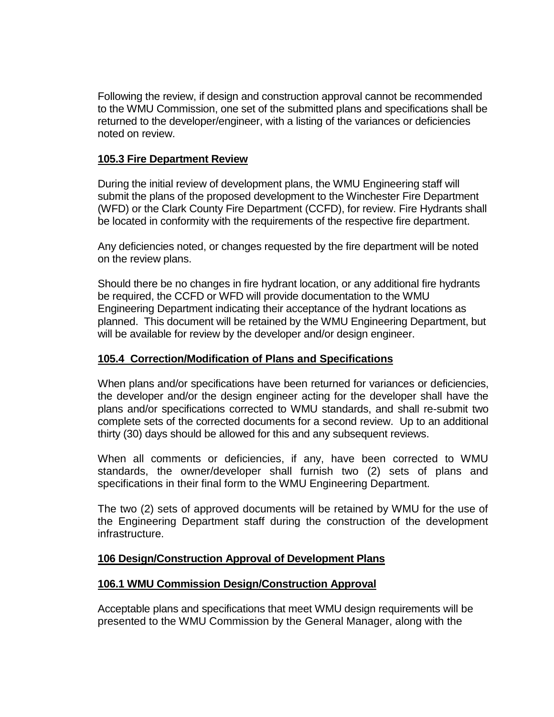Following the review, if design and construction approval cannot be recommended to the WMU Commission, one set of the submitted plans and specifications shall be returned to the developer/engineer, with a listing of the variances or deficiencies noted on review.

## **105.3 Fire Department Review**

During the initial review of development plans, the WMU Engineering staff will submit the plans of the proposed development to the Winchester Fire Department (WFD) or the Clark County Fire Department (CCFD), for review. Fire Hydrants shall be located in conformity with the requirements of the respective fire department.

Any deficiencies noted, or changes requested by the fire department will be noted on the review plans.

Should there be no changes in fire hydrant location, or any additional fire hydrants be required, the CCFD or WFD will provide documentation to the WMU Engineering Department indicating their acceptance of the hydrant locations as planned. This document will be retained by the WMU Engineering Department, but will be available for review by the developer and/or design engineer.

## **105.4 Correction/Modification of Plans and Specifications**

When plans and/or specifications have been returned for variances or deficiencies, the developer and/or the design engineer acting for the developer shall have the plans and/or specifications corrected to WMU standards, and shall re-submit two complete sets of the corrected documents for a second review. Up to an additional thirty (30) days should be allowed for this and any subsequent reviews.

When all comments or deficiencies, if any, have been corrected to WMU standards, the owner/developer shall furnish two (2) sets of plans and specifications in their final form to the WMU Engineering Department.

The two (2) sets of approved documents will be retained by WMU for the use of the Engineering Department staff during the construction of the development infrastructure.

## **106 Design/Construction Approval of Development Plans**

## **106.1 WMU Commission Design/Construction Approval**

Acceptable plans and specifications that meet WMU design requirements will be presented to the WMU Commission by the General Manager, along with the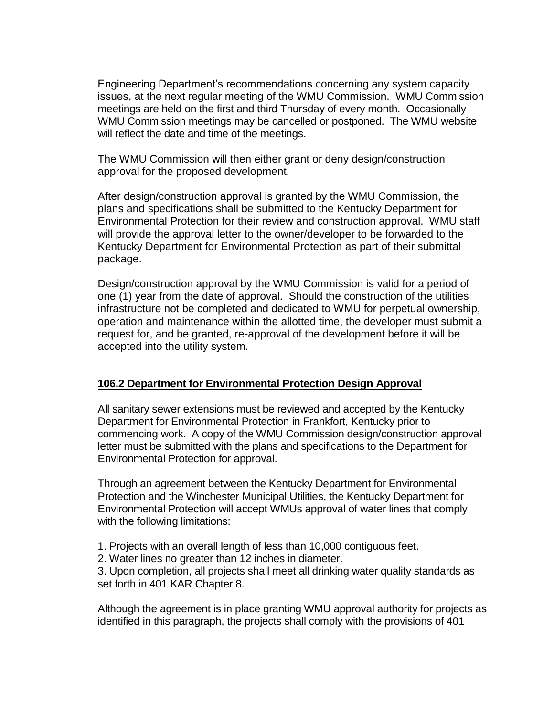Engineering Department's recommendations concerning any system capacity issues, at the next regular meeting of the WMU Commission. WMU Commission meetings are held on the first and third Thursday of every month. Occasionally WMU Commission meetings may be cancelled or postponed. The WMU website will reflect the date and time of the meetings.

The WMU Commission will then either grant or deny design/construction approval for the proposed development.

After design/construction approval is granted by the WMU Commission, the plans and specifications shall be submitted to the Kentucky Department for Environmental Protection for their review and construction approval. WMU staff will provide the approval letter to the owner/developer to be forwarded to the Kentucky Department for Environmental Protection as part of their submittal package.

Design/construction approval by the WMU Commission is valid for a period of one (1) year from the date of approval. Should the construction of the utilities infrastructure not be completed and dedicated to WMU for perpetual ownership, operation and maintenance within the allotted time, the developer must submit a request for, and be granted, re-approval of the development before it will be accepted into the utility system.

### **106.2 Department for Environmental Protection Design Approval**

All sanitary sewer extensions must be reviewed and accepted by the Kentucky Department for Environmental Protection in Frankfort, Kentucky prior to commencing work. A copy of the WMU Commission design/construction approval letter must be submitted with the plans and specifications to the Department for Environmental Protection for approval.

Through an agreement between the Kentucky Department for Environmental Protection and the Winchester Municipal Utilities, the Kentucky Department for Environmental Protection will accept WMUs approval of water lines that comply with the following limitations:

- 1. Projects with an overall length of less than 10,000 contiguous feet.
- 2. Water lines no greater than 12 inches in diameter.

3. Upon completion, all projects shall meet all drinking water quality standards as set forth in 401 KAR Chapter 8.

Although the agreement is in place granting WMU approval authority for projects as identified in this paragraph, the projects shall comply with the provisions of 401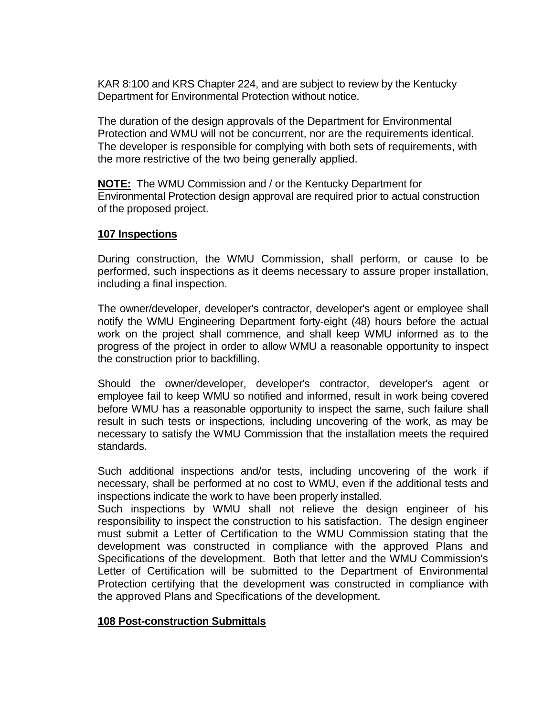KAR 8:100 and KRS Chapter 224, and are subject to review by the Kentucky Department for Environmental Protection without notice.

The duration of the design approvals of the Department for Environmental Protection and WMU will not be concurrent, nor are the requirements identical. The developer is responsible for complying with both sets of requirements, with the more restrictive of the two being generally applied.

**NOTE:** The WMU Commission and / or the Kentucky Department for Environmental Protection design approval are required prior to actual construction of the proposed project.

## **107 Inspections**

During construction, the WMU Commission, shall perform, or cause to be performed, such inspections as it deems necessary to assure proper installation, including a final inspection.

The owner/developer, developer's contractor, developer's agent or employee shall notify the WMU Engineering Department forty-eight (48) hours before the actual work on the project shall commence, and shall keep WMU informed as to the progress of the project in order to allow WMU a reasonable opportunity to inspect the construction prior to backfilling.

Should the owner/developer, developer's contractor, developer's agent or employee fail to keep WMU so notified and informed, result in work being covered before WMU has a reasonable opportunity to inspect the same, such failure shall result in such tests or inspections, including uncovering of the work, as may be necessary to satisfy the WMU Commission that the installation meets the required standards.

Such additional inspections and/or tests, including uncovering of the work if necessary, shall be performed at no cost to WMU, even if the additional tests and inspections indicate the work to have been properly installed.

Such inspections by WMU shall not relieve the design engineer of his responsibility to inspect the construction to his satisfaction. The design engineer must submit a Letter of Certification to the WMU Commission stating that the development was constructed in compliance with the approved Plans and Specifications of the development. Both that letter and the WMU Commission's Letter of Certification will be submitted to the Department of Environmental Protection certifying that the development was constructed in compliance with the approved Plans and Specifications of the development.

## **108 Post-construction Submittals**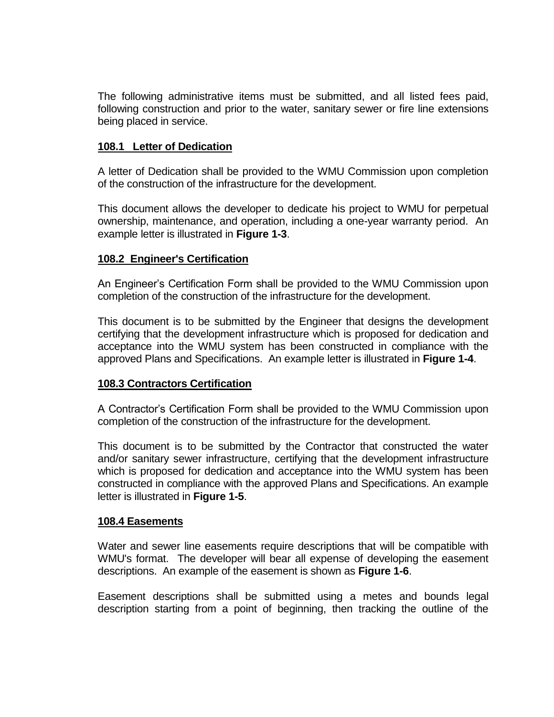The following administrative items must be submitted, and all listed fees paid, following construction and prior to the water, sanitary sewer or fire line extensions being placed in service.

## **108.1 Letter of Dedication**

A letter of Dedication shall be provided to the WMU Commission upon completion of the construction of the infrastructure for the development.

This document allows the developer to dedicate his project to WMU for perpetual ownership, maintenance, and operation, including a one-year warranty period. An example letter is illustrated in **Figure 1-3**.

### **108.2 Engineer's Certification**

An Engineer's Certification Form shall be provided to the WMU Commission upon completion of the construction of the infrastructure for the development.

This document is to be submitted by the Engineer that designs the development certifying that the development infrastructure which is proposed for dedication and acceptance into the WMU system has been constructed in compliance with the approved Plans and Specifications. An example letter is illustrated in **Figure 1-4**.

## **108.3 Contractors Certification**

A Contractor's Certification Form shall be provided to the WMU Commission upon completion of the construction of the infrastructure for the development.

This document is to be submitted by the Contractor that constructed the water and/or sanitary sewer infrastructure, certifying that the development infrastructure which is proposed for dedication and acceptance into the WMU system has been constructed in compliance with the approved Plans and Specifications. An example letter is illustrated in **Figure 1-5**.

### **108.4 Easements**

Water and sewer line easements require descriptions that will be compatible with WMU's format. The developer will bear all expense of developing the easement descriptions. An example of the easement is shown as **Figure 1-6**.

Easement descriptions shall be submitted using a metes and bounds legal description starting from a point of beginning, then tracking the outline of the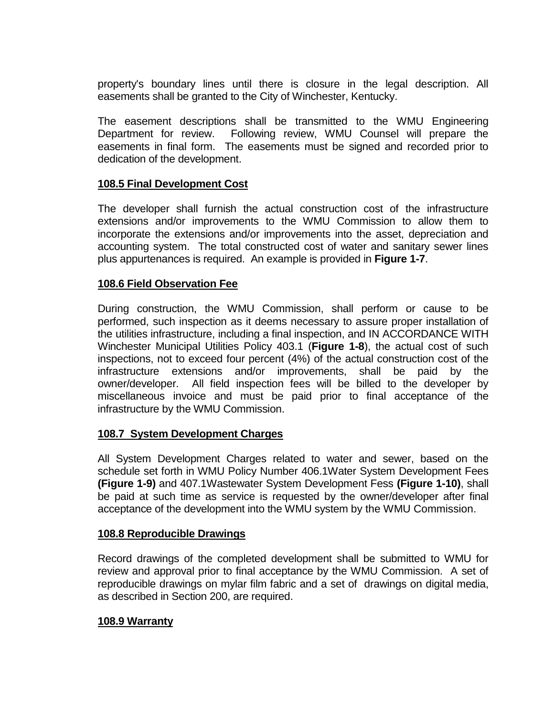property's boundary lines until there is closure in the legal description. All easements shall be granted to the City of Winchester, Kentucky.

The easement descriptions shall be transmitted to the WMU Engineering Department for review. Following review, WMU Counsel will prepare the easements in final form. The easements must be signed and recorded prior to dedication of the development.

## **108.5 Final Development Cost**

The developer shall furnish the actual construction cost of the infrastructure extensions and/or improvements to the WMU Commission to allow them to incorporate the extensions and/or improvements into the asset, depreciation and accounting system. The total constructed cost of water and sanitary sewer lines plus appurtenances is required. An example is provided in **Figure 1-7**.

### **108.6 Field Observation Fee**

During construction, the WMU Commission, shall perform or cause to be performed, such inspection as it deems necessary to assure proper installation of the utilities infrastructure, including a final inspection, and IN ACCORDANCE WITH Winchester Municipal Utilities Policy 403.1 (**Figure 1-8**), the actual cost of such inspections, not to exceed four percent (4%) of the actual construction cost of the infrastructure extensions and/or improvements, shall be paid by the owner/developer. All field inspection fees will be billed to the developer by miscellaneous invoice and must be paid prior to final acceptance of the infrastructure by the WMU Commission.

### **108.7 System Development Charges**

All System Development Charges related to water and sewer, based on the schedule set forth in WMU Policy Number 406.1Water System Development Fees **(Figure 1-9)** and 407.1Wastewater System Development Fess **(Figure 1-10)**, shall be paid at such time as service is requested by the owner/developer after final acceptance of the development into the WMU system by the WMU Commission.

### **108.8 Reproducible Drawings**

Record drawings of the completed development shall be submitted to WMU for review and approval prior to final acceptance by the WMU Commission. A set of reproducible drawings on mylar film fabric and a set of drawings on digital media, as described in Section 200, are required.

### **108.9 Warranty**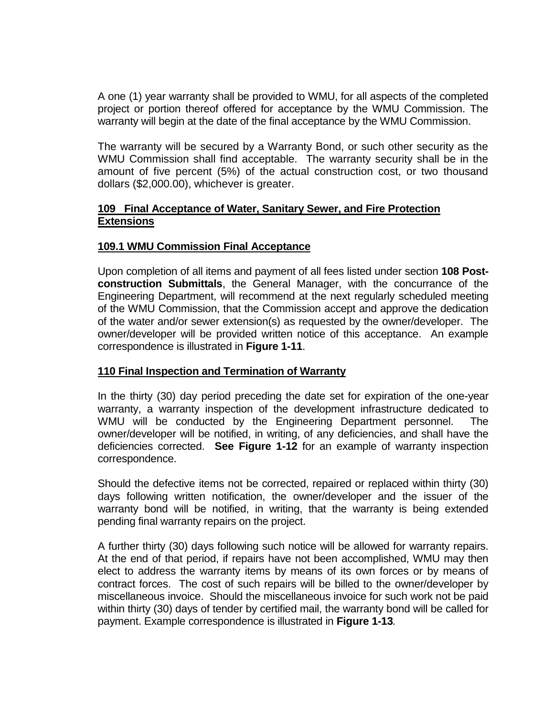A one (1) year warranty shall be provided to WMU, for all aspects of the completed project or portion thereof offered for acceptance by the WMU Commission. The warranty will begin at the date of the final acceptance by the WMU Commission.

The warranty will be secured by a Warranty Bond, or such other security as the WMU Commission shall find acceptable. The warranty security shall be in the amount of five percent (5%) of the actual construction cost, or two thousand dollars (\$2,000.00), whichever is greater.

## **109 Final Acceptance of Water, Sanitary Sewer, and Fire Protection Extensions**

## **109.1 WMU Commission Final Acceptance**

Upon completion of all items and payment of all fees listed under section **108 Postconstruction Submittals**, the General Manager, with the concurrance of the Engineering Department, will recommend at the next regularly scheduled meeting of the WMU Commission, that the Commission accept and approve the dedication of the water and/or sewer extension(s) as requested by the owner/developer. The owner/developer will be provided written notice of this acceptance. An example correspondence is illustrated in **Figure 1-11**.

## **110 Final Inspection and Termination of Warranty**

In the thirty (30) day period preceding the date set for expiration of the one-year warranty, a warranty inspection of the development infrastructure dedicated to WMU will be conducted by the Engineering Department personnel. The owner/developer will be notified, in writing, of any deficiencies, and shall have the deficiencies corrected. **See Figure 1-12** for an example of warranty inspection correspondence.

Should the defective items not be corrected, repaired or replaced within thirty (30) days following written notification, the owner/developer and the issuer of the warranty bond will be notified, in writing, that the warranty is being extended pending final warranty repairs on the project.

A further thirty (30) days following such notice will be allowed for warranty repairs. At the end of that period, if repairs have not been accomplished, WMU may then elect to address the warranty items by means of its own forces or by means of contract forces. The cost of such repairs will be billed to the owner/developer by miscellaneous invoice. Should the miscellaneous invoice for such work not be paid within thirty (30) days of tender by certified mail, the warranty bond will be called for payment. Example correspondence is illustrated in **Figure 1-13***.*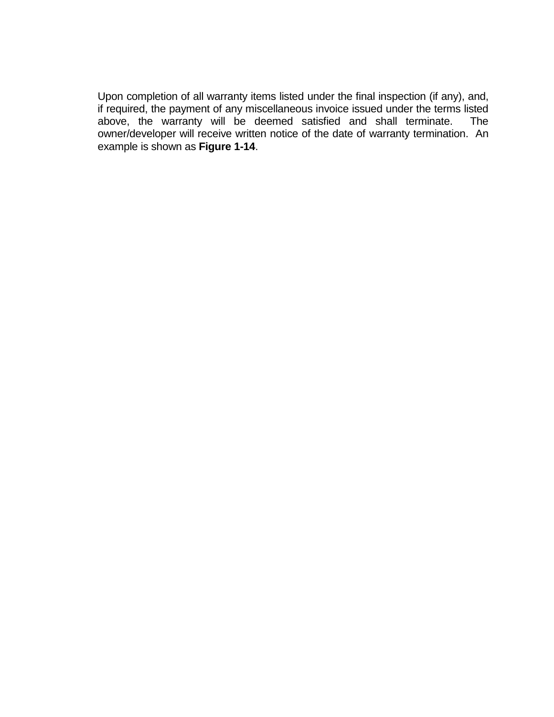Upon completion of all warranty items listed under the final inspection (if any), and, if required, the payment of any miscellaneous invoice issued under the terms listed above, the warranty will be deemed satisfied and shall terminate. The owner/developer will receive written notice of the date of warranty termination. An example is shown as **Figure 1-14**.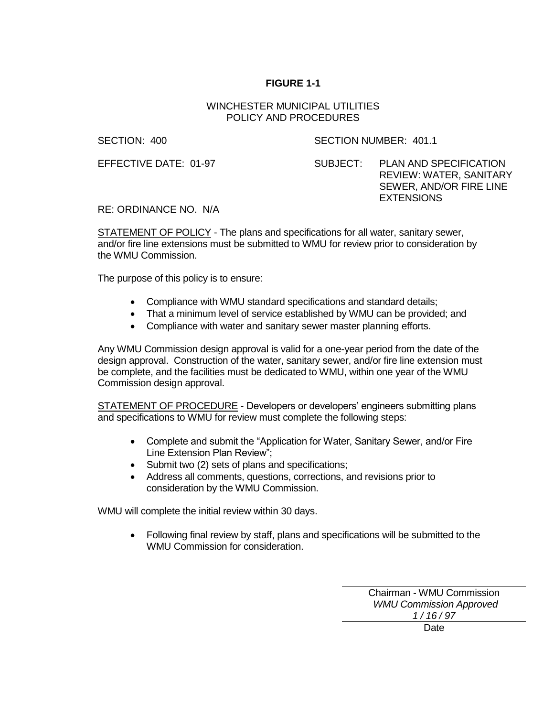#### WINCHESTER MUNICIPAL UTILITIES POLICY AND PROCEDURES

SECTION: 400 SECTION NUMBER: 401.1

EFFECTIVE DATE: 01-97 SUBJECT: PLAN AND SPECIFICATION REVIEW: WATER, SANITARY SEWER, AND/OR FIRE LINE EXTENSIONS

RE: ORDINANCE NO. N/A

STATEMENT OF POLICY - The plans and specifications for all water, sanitary sewer, and/or fire line extensions must be submitted to WMU for review prior to consideration by the WMU Commission.

The purpose of this policy is to ensure:

- Compliance with WMU standard specifications and standard details;
- That a minimum level of service established by WMU can be provided; and
- Compliance with water and sanitary sewer master planning efforts.

Any WMU Commission design approval is valid for a one-year period from the date of the design approval. Construction of the water, sanitary sewer, and/or fire line extension must be complete, and the facilities must be dedicated to WMU, within one year of the WMU Commission design approval.

STATEMENT OF PROCEDURE - Developers or developers' engineers submitting plans and specifications to WMU for review must complete the following steps:

- Complete and submit the "Application for Water, Sanitary Sewer, and/or Fire Line Extension Plan Review";
- Submit two (2) sets of plans and specifications;
- Address all comments, questions, corrections, and revisions prior to consideration by the WMU Commission.

WMU will complete the initial review within 30 days.

 Following final review by staff, plans and specifications will be submitted to the WMU Commission for consideration.

> Chairman - WMU Commission  *WMU Commission Approved 1 / 16 / 97*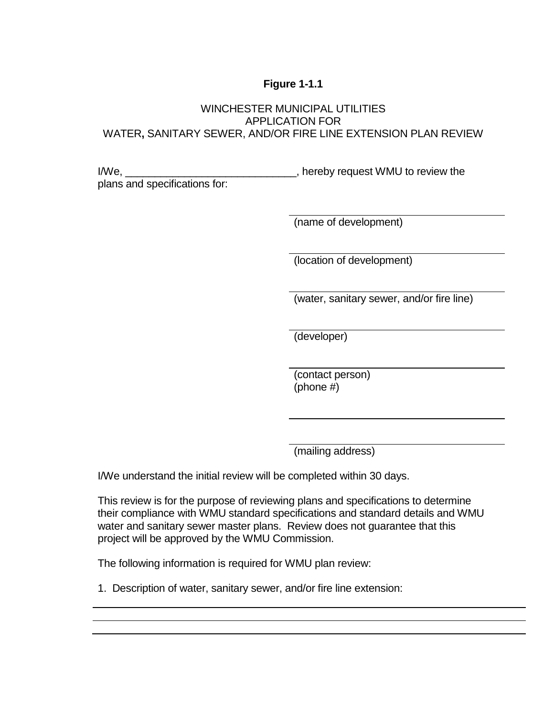## **Figure 1-1.1**

## WINCHESTER MUNICIPAL UTILITIES APPLICATION FOR WATER**,** SANITARY SEWER, AND/OR FIRE LINE EXTENSION PLAN REVIEW

I/We, \_\_\_\_\_\_\_\_\_\_\_\_\_\_\_\_\_\_\_\_\_\_\_\_\_\_\_\_\_\_\_\_\_, hereby request WMU to review the plans and specifications for:

(name of development)

(location of development)

(water, sanitary sewer, and/or fire line)

(developer)

(contact person) (phone #)

(mailing address)

I/We understand the initial review will be completed within 30 days.

This review is for the purpose of reviewing plans and specifications to determine their compliance with WMU standard specifications and standard details and WMU water and sanitary sewer master plans. Review does not guarantee that this project will be approved by the WMU Commission.

The following information is required for WMU plan review:

1. Description of water, sanitary sewer, and/or fire line extension: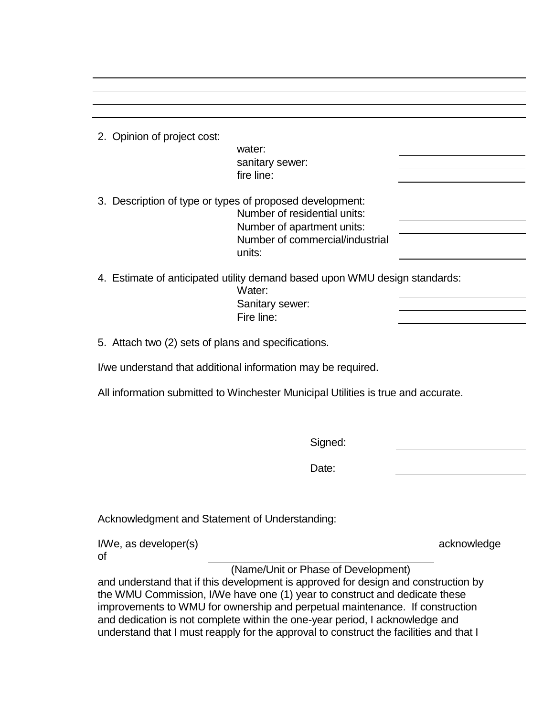| 2. Opinion of project cost:                         |                                                                                                                           |             |
|-----------------------------------------------------|---------------------------------------------------------------------------------------------------------------------------|-------------|
|                                                     | water:                                                                                                                    |             |
|                                                     | sanitary sewer:                                                                                                           |             |
|                                                     | fire line:                                                                                                                |             |
|                                                     | 3. Description of type or types of proposed development:                                                                  |             |
|                                                     | Number of residential units:                                                                                              |             |
|                                                     | Number of apartment units:                                                                                                |             |
|                                                     | Number of commercial/industrial<br>units:                                                                                 |             |
|                                                     |                                                                                                                           |             |
|                                                     | 4. Estimate of anticipated utility demand based upon WMU design standards:                                                |             |
|                                                     | Water:<br>Sanitary sewer:                                                                                                 |             |
|                                                     | Fire line:                                                                                                                |             |
|                                                     |                                                                                                                           |             |
| 5. Attach two (2) sets of plans and specifications. |                                                                                                                           |             |
|                                                     | I/we understand that additional information may be required.                                                              |             |
|                                                     | All information submitted to Winchester Municipal Utilities is true and accurate.                                         |             |
|                                                     |                                                                                                                           |             |
|                                                     | Signed:                                                                                                                   |             |
|                                                     | Date:                                                                                                                     |             |
|                                                     |                                                                                                                           |             |
| Acknowledgment and Statement of Understanding:      |                                                                                                                           |             |
| I/We, as developer(s)                               |                                                                                                                           | acknowledge |
| οf                                                  |                                                                                                                           |             |
|                                                     | (Name/Unit or Phase of Development)<br>and understand that if this development is approved for design and construction by |             |
|                                                     | the WMU Commission, I/We have one (1) year to construct and dedicate these                                                |             |
|                                                     | improvements to WMU for ownership and perpetual maintenance. If construction                                              |             |
|                                                     | and dedication is not complete within the one-year period, I acknowledge and                                              |             |
|                                                     | understand that I must reapply for the approval to construct the facilities and that I                                    |             |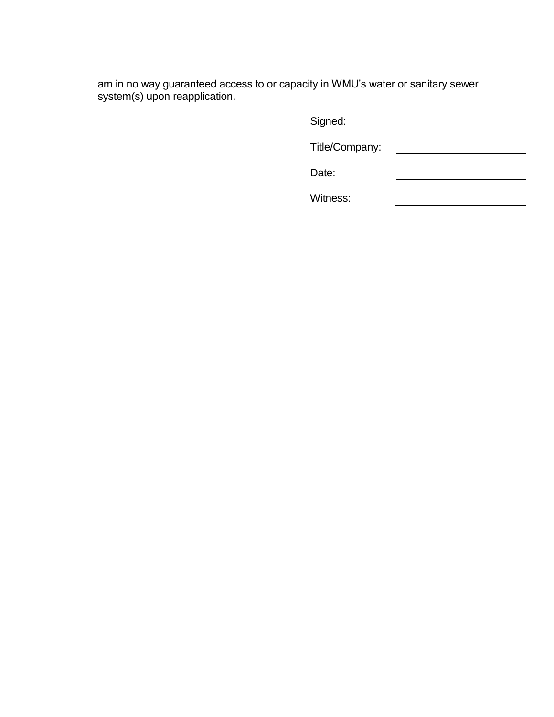am in no way guaranteed access to or capacity in WMU's water or sanitary sewer system(s) upon reapplication.

| Signed:        |  |
|----------------|--|
| Title/Company: |  |
| Date:          |  |
| Witness:       |  |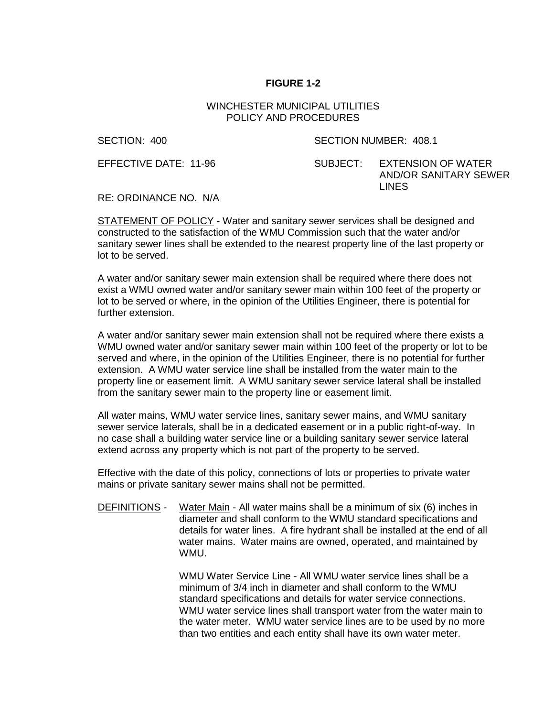#### WINCHESTER MUNICIPAL UTILITIES POLICY AND PROCEDURES

SECTION: 400 SECTION NUMBER: 408.1

EFFECTIVE DATE: 11-96 SUBJECT: EXTENSION OF WATER AND/OR SANITARY SEWER LINES

RE: ORDINANCE NO. N/A

STATEMENT OF POLICY - Water and sanitary sewer services shall be designed and constructed to the satisfaction of the WMU Commission such that the water and/or sanitary sewer lines shall be extended to the nearest property line of the last property or lot to be served.

A water and/or sanitary sewer main extension shall be required where there does not exist a WMU owned water and/or sanitary sewer main within 100 feet of the property or lot to be served or where, in the opinion of the Utilities Engineer, there is potential for further extension.

A water and/or sanitary sewer main extension shall not be required where there exists a WMU owned water and/or sanitary sewer main within 100 feet of the property or lot to be served and where, in the opinion of the Utilities Engineer, there is no potential for further extension. A WMU water service line shall be installed from the water main to the property line or easement limit. A WMU sanitary sewer service lateral shall be installed from the sanitary sewer main to the property line or easement limit.

All water mains, WMU water service lines, sanitary sewer mains, and WMU sanitary sewer service laterals, shall be in a dedicated easement or in a public right-of-way. In no case shall a building water service line or a building sanitary sewer service lateral extend across any property which is not part of the property to be served.

Effective with the date of this policy, connections of lots or properties to private water mains or private sanitary sewer mains shall not be permitted.

DEFINITIONS - Water Main - All water mains shall be a minimum of six (6) inches in diameter and shall conform to the WMU standard specifications and details for water lines. A fire hydrant shall be installed at the end of all water mains. Water mains are owned, operated, and maintained by WMU.

> WMU Water Service Line - All WMU water service lines shall be a minimum of 3/4 inch in diameter and shall conform to the WMU standard specifications and details for water service connections. WMU water service lines shall transport water from the water main to the water meter. WMU water service lines are to be used by no more than two entities and each entity shall have its own water meter.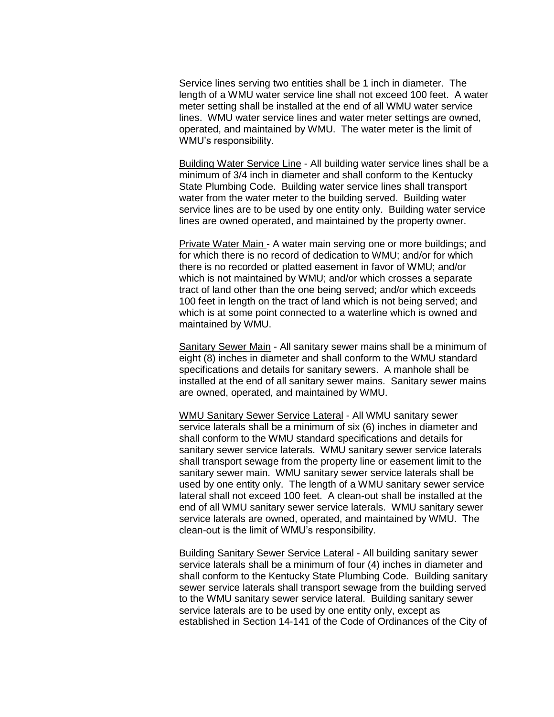Service lines serving two entities shall be 1 inch in diameter. The length of a WMU water service line shall not exceed 100 feet. A water meter setting shall be installed at the end of all WMU water service lines. WMU water service lines and water meter settings are owned, operated, and maintained by WMU. The water meter is the limit of WMU's responsibility.

Building Water Service Line - All building water service lines shall be a minimum of 3/4 inch in diameter and shall conform to the Kentucky State Plumbing Code. Building water service lines shall transport water from the water meter to the building served. Building water service lines are to be used by one entity only. Building water service lines are owned operated, and maintained by the property owner.

Private Water Main - A water main serving one or more buildings; and for which there is no record of dedication to WMU; and/or for which there is no recorded or platted easement in favor of WMU; and/or which is not maintained by WMU; and/or which crosses a separate tract of land other than the one being served; and/or which exceeds 100 feet in length on the tract of land which is not being served; and which is at some point connected to a waterline which is owned and maintained by WMU.

Sanitary Sewer Main - All sanitary sewer mains shall be a minimum of eight (8) inches in diameter and shall conform to the WMU standard specifications and details for sanitary sewers. A manhole shall be installed at the end of all sanitary sewer mains. Sanitary sewer mains are owned, operated, and maintained by WMU.

WMU Sanitary Sewer Service Lateral - All WMU sanitary sewer service laterals shall be a minimum of six (6) inches in diameter and shall conform to the WMU standard specifications and details for sanitary sewer service laterals. WMU sanitary sewer service laterals shall transport sewage from the property line or easement limit to the sanitary sewer main. WMU sanitary sewer service laterals shall be used by one entity only. The length of a WMU sanitary sewer service lateral shall not exceed 100 feet. A clean-out shall be installed at the end of all WMU sanitary sewer service laterals. WMU sanitary sewer service laterals are owned, operated, and maintained by WMU. The clean-out is the limit of WMU's responsibility.

Building Sanitary Sewer Service Lateral - All building sanitary sewer service laterals shall be a minimum of four (4) inches in diameter and shall conform to the Kentucky State Plumbing Code. Building sanitary sewer service laterals shall transport sewage from the building served to the WMU sanitary sewer service lateral. Building sanitary sewer service laterals are to be used by one entity only, except as established in Section 14-141 of the Code of Ordinances of the City of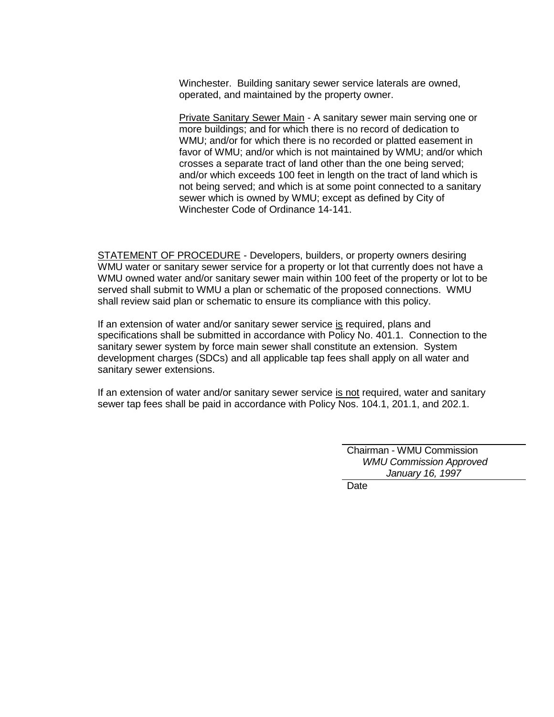Winchester. Building sanitary sewer service laterals are owned, operated, and maintained by the property owner.

Private Sanitary Sewer Main - A sanitary sewer main serving one or more buildings; and for which there is no record of dedication to WMU; and/or for which there is no recorded or platted easement in favor of WMU; and/or which is not maintained by WMU; and/or which crosses a separate tract of land other than the one being served; and/or which exceeds 100 feet in length on the tract of land which is not being served; and which is at some point connected to a sanitary sewer which is owned by WMU; except as defined by City of Winchester Code of Ordinance 14-141.

STATEMENT OF PROCEDURE - Developers, builders, or property owners desiring WMU water or sanitary sewer service for a property or lot that currently does not have a WMU owned water and/or sanitary sewer main within 100 feet of the property or lot to be served shall submit to WMU a plan or schematic of the proposed connections. WMU shall review said plan or schematic to ensure its compliance with this policy.

If an extension of water and/or sanitary sewer service is required, plans and specifications shall be submitted in accordance with Policy No. 401.1. Connection to the sanitary sewer system by force main sewer shall constitute an extension. System development charges (SDCs) and all applicable tap fees shall apply on all water and sanitary sewer extensions.

If an extension of water and/or sanitary sewer service is not required, water and sanitary sewer tap fees shall be paid in accordance with Policy Nos. 104.1, 201.1, and 202.1.

> Chairman - WMU Commission  *WMU Commission Approved January 16, 1997*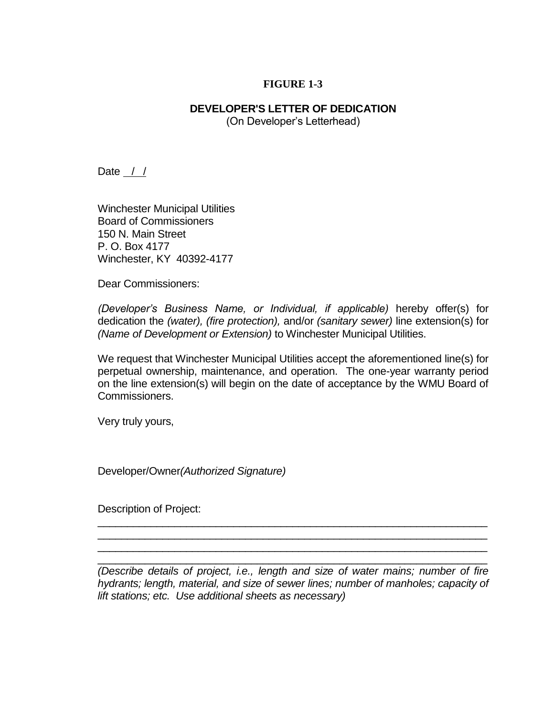### **DEVELOPER'S LETTER OF DEDICATION** (On Developer's Letterhead)

Date  $\frac{\pi}{2}$ 

Winchester Municipal Utilities Board of Commissioners 150 N. Main Street P. O. Box 4177 Winchester, KY 40392-4177

Dear Commissioners:

*(Developer's Business Name, or Individual, if applicable)* hereby offer(s) for dedication the *(water), (fire protection),* and/or *(sanitary sewer)* line extension(s) for *(Name of Development or Extension)* to Winchester Municipal Utilities.

We request that Winchester Municipal Utilities accept the aforementioned line(s) for perpetual ownership, maintenance, and operation. The one-year warranty period on the line extension(s) will begin on the date of acceptance by the WMU Board of Commissioners.

Very truly yours,

Developer/Owner*(Authorized Signature)*

Description of Project:

*(Describe details of project, i.e., length and size of water mains; number of fire hydrants; length, material, and size of sewer lines; number of manholes; capacity of lift stations; etc. Use additional sheets as necessary)* 

\_\_\_\_\_\_\_\_\_\_\_\_\_\_\_\_\_\_\_\_\_\_\_\_\_\_\_\_\_\_\_\_\_\_\_\_\_\_\_\_\_\_\_\_\_\_\_\_\_\_\_\_\_\_\_\_\_\_\_\_\_\_\_\_\_\_ \_\_\_\_\_\_\_\_\_\_\_\_\_\_\_\_\_\_\_\_\_\_\_\_\_\_\_\_\_\_\_\_\_\_\_\_\_\_\_\_\_\_\_\_\_\_\_\_\_\_\_\_\_\_\_\_\_\_\_\_\_\_\_\_\_\_ \_\_\_\_\_\_\_\_\_\_\_\_\_\_\_\_\_\_\_\_\_\_\_\_\_\_\_\_\_\_\_\_\_\_\_\_\_\_\_\_\_\_\_\_\_\_\_\_\_\_\_\_\_\_\_\_\_\_\_\_\_\_\_\_\_\_  $\_$  , and the set of the set of the set of the set of the set of the set of the set of the set of the set of the set of the set of the set of the set of the set of the set of the set of the set of the set of the set of th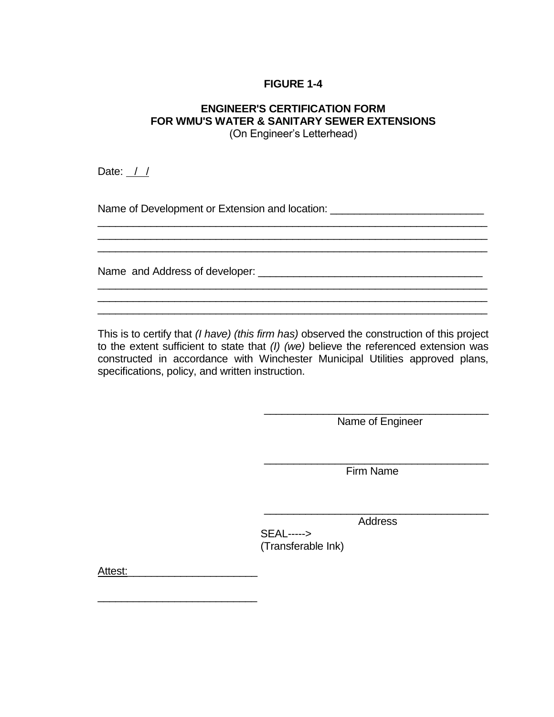# **ENGINEER'S CERTIFICATION FORM FOR WMU'S WATER & SANITARY SEWER EXTENSIONS**

(On Engineer's Letterhead)

\_\_\_\_\_\_\_\_\_\_\_\_\_\_\_\_\_\_\_\_\_\_\_\_\_\_\_\_\_\_\_\_\_\_\_\_\_\_\_\_\_\_\_\_\_\_\_\_\_\_\_\_\_\_\_\_\_\_\_\_\_\_\_\_\_\_

\_\_\_\_\_\_\_\_\_\_\_\_\_\_\_\_\_\_\_\_\_\_\_\_\_\_\_\_\_\_\_\_\_\_\_\_\_\_\_\_\_\_\_\_\_\_\_\_\_\_\_\_\_\_\_\_\_\_\_\_\_\_\_\_\_\_ \_\_\_\_\_\_\_\_\_\_\_\_\_\_\_\_\_\_\_\_\_\_\_\_\_\_\_\_\_\_\_\_\_\_\_\_\_\_\_\_\_\_\_\_\_\_\_\_\_\_\_\_\_\_\_\_\_\_\_\_\_\_\_\_\_\_  $\_$  , and the set of the set of the set of the set of the set of the set of the set of the set of the set of the set of the set of the set of the set of the set of the set of the set of the set of the set of the set of th

 $\overline{\phantom{a}}$  , and the contribution of the contribution of the contribution of the contribution of the contribution of the contribution of the contribution of the contribution of the contribution of the contribution of the

Date: / /

Name of Development or Extension and location: \_\_\_\_\_\_\_\_\_\_\_\_\_\_\_\_\_\_\_\_\_\_\_\_\_\_\_\_\_\_\_\_\_

Name and Address of developer: \_\_\_\_\_\_\_\_\_\_\_\_\_\_\_\_\_\_\_\_\_\_\_\_\_\_\_\_\_\_\_\_\_\_\_\_\_\_

This is to certify that *(I have) (this firm has)* observed the construction of this project to the extent sufficient to state that *(I) (we)* believe the referenced extension was constructed in accordance with Winchester Municipal Utilities approved plans, specifications, policy, and written instruction.

> \_\_\_\_\_\_\_\_\_\_\_\_\_\_\_\_\_\_\_\_\_\_\_\_\_\_\_\_\_\_\_\_\_\_\_\_\_\_ Name of Engineer

> \_\_\_\_\_\_\_\_\_\_\_\_\_\_\_\_\_\_\_\_\_\_\_\_\_\_\_\_\_\_\_\_\_\_\_\_\_\_ Firm Name

> \_\_\_\_\_\_\_\_\_\_\_\_\_\_\_\_\_\_\_\_\_\_\_\_\_\_\_\_\_\_\_\_\_\_\_\_\_\_ Address

SEAL-----> (Transferable Ink)

Attest:\_\_\_\_\_\_\_\_\_\_\_\_\_\_\_\_\_\_\_\_\_\_

\_\_\_\_\_\_\_\_\_\_\_\_\_\_\_\_\_\_\_\_\_\_\_\_\_\_\_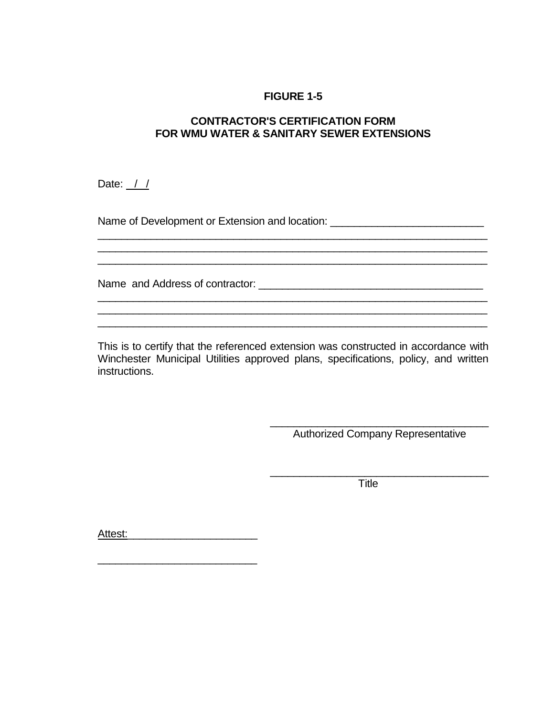## **CONTRACTOR'S CERTIFICATION FORM FOR WMU WATER & SANITARY SEWER EXTENSIONS**

\_\_\_\_\_\_\_\_\_\_\_\_\_\_\_\_\_\_\_\_\_\_\_\_\_\_\_\_\_\_\_\_\_\_\_\_\_\_\_\_\_\_\_\_\_\_\_\_\_\_\_\_\_\_\_\_\_\_\_\_\_\_\_\_\_\_

 $\_$  , and the set of the set of the set of the set of the set of the set of the set of the set of the set of the set of the set of the set of the set of the set of the set of the set of the set of the set of the set of th

Date: / /

Name of Development or Extension and location: \_\_\_\_\_\_\_\_\_\_\_\_\_\_\_\_\_\_\_\_\_\_\_\_\_\_\_\_\_\_\_\_\_

Name and Address of contractor: \_\_\_\_\_\_\_\_\_\_\_\_\_\_\_\_\_\_\_\_\_\_\_\_\_\_\_\_\_\_\_\_\_\_\_\_\_\_

This is to certify that the referenced extension was constructed in accordance with Winchester Municipal Utilities approved plans, specifications, policy, and written instructions.

 $\_$  , and the set of the set of the set of the set of the set of the set of the set of the set of the set of the set of the set of the set of the set of the set of the set of the set of the set of the set of the set of th

\_\_\_\_\_\_\_\_\_\_\_\_\_\_\_\_\_\_\_\_\_\_\_\_\_\_\_\_\_\_\_\_\_\_\_\_\_ Authorized Company Representative

\_\_\_\_\_\_\_\_\_\_\_\_\_\_\_\_\_\_\_\_\_\_\_\_\_\_\_\_\_\_\_\_\_\_\_\_\_

\_\_\_\_\_\_\_\_\_\_\_\_\_\_\_\_\_\_\_\_\_\_\_\_\_\_\_\_\_\_\_\_\_\_\_\_\_\_\_\_\_\_\_\_\_\_\_\_\_\_\_\_\_\_\_\_\_\_\_\_\_\_\_\_\_\_

**Title** 

Attest:\_\_\_\_\_\_\_\_\_\_\_\_\_\_\_\_\_\_\_\_\_\_

\_\_\_\_\_\_\_\_\_\_\_\_\_\_\_\_\_\_\_\_\_\_\_\_\_\_\_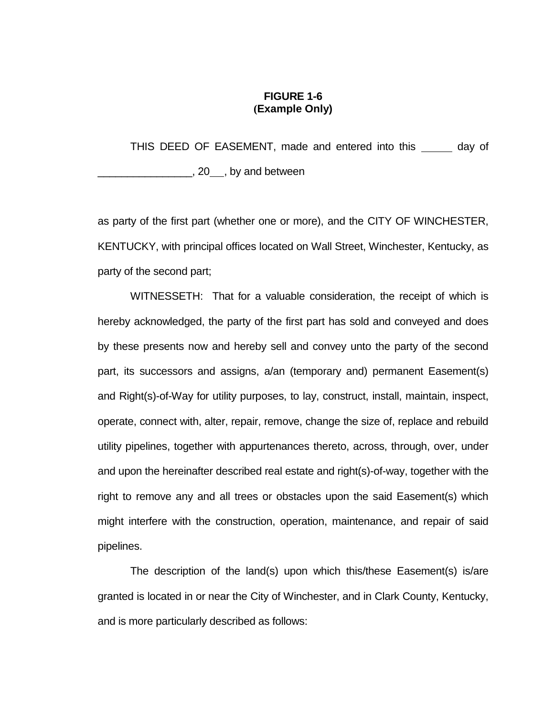### **FIGURE 1-6 (Example Only)**

THIS DEED OF EASEMENT, made and entered into this \_\_\_\_\_\_ day of  $\frac{1}{20}$ , 20 , by and between

as party of the first part (whether one or more), and the CITY OF WINCHESTER, KENTUCKY, with principal offices located on Wall Street, Winchester, Kentucky, as party of the second part;

WITNESSETH: That for a valuable consideration, the receipt of which is hereby acknowledged, the party of the first part has sold and conveyed and does by these presents now and hereby sell and convey unto the party of the second part, its successors and assigns, a/an (temporary and) permanent Easement(s) and Right(s)-of-Way for utility purposes, to lay, construct, install, maintain, inspect, operate, connect with, alter, repair, remove, change the size of, replace and rebuild utility pipelines, together with appurtenances thereto, across, through, over, under and upon the hereinafter described real estate and right(s)-of-way, together with the right to remove any and all trees or obstacles upon the said Easement(s) which might interfere with the construction, operation, maintenance, and repair of said pipelines.

The description of the land(s) upon which this/these Easement(s) is/are granted is located in or near the City of Winchester, and in Clark County, Kentucky, and is more particularly described as follows: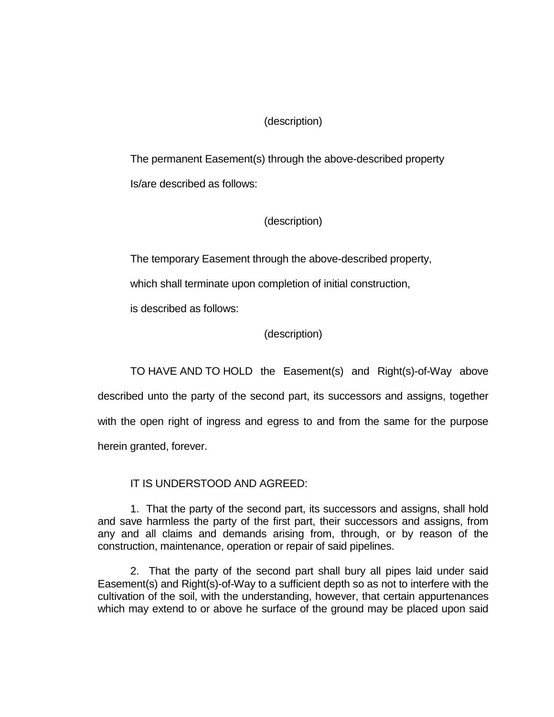## (description)

The permanent Easement(s) through the above-described property Is/are described as follows:

## (description)

The temporary Easement through the above-described property,

which shall terminate upon completion of initial construction,

is described as follows:

## (description)

TO HAVE AND TO HOLD the Easement(s) and Right(s)-of-Way above described unto the party of the second part, its successors and assigns, together with the open right of ingress and egress to and from the same for the purpose herein granted, forever.

## IT IS UNDERSTOOD AND AGREED:

1. That the party of the second part, its successors and assigns, shall hold and save harmless the party of the first part, their successors and assigns, from any and all claims and demands arising from, through, or by reason of the construction, maintenance, operation or repair of said pipelines.

2. That the party of the second part shall bury all pipes laid under said Easement(s) and Right(s)-of-Way to a sufficient depth so as not to interfere with the cultivation of the soil, with the understanding, however, that certain appurtenances which may extend to or above he surface of the ground may be placed upon said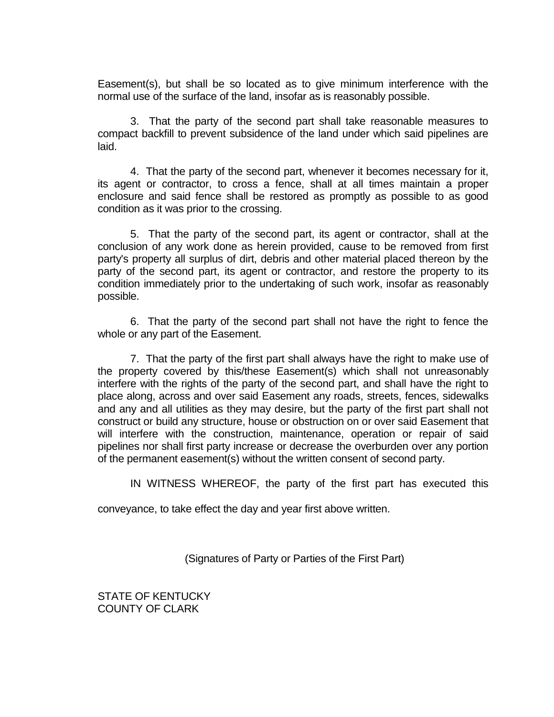Easement(s), but shall be so located as to give minimum interference with the normal use of the surface of the land, insofar as is reasonably possible.

3. That the party of the second part shall take reasonable measures to compact backfill to prevent subsidence of the land under which said pipelines are laid.

4. That the party of the second part, whenever it becomes necessary for it, its agent or contractor, to cross a fence, shall at all times maintain a proper enclosure and said fence shall be restored as promptly as possible to as good condition as it was prior to the crossing.

5. That the party of the second part, its agent or contractor, shall at the conclusion of any work done as herein provided, cause to be removed from first party's property all surplus of dirt, debris and other material placed thereon by the party of the second part, its agent or contractor, and restore the property to its condition immediately prior to the undertaking of such work, insofar as reasonably possible.

6. That the party of the second part shall not have the right to fence the whole or any part of the Easement.

7. That the party of the first part shall always have the right to make use of the property covered by this/these Easement(s) which shall not unreasonably interfere with the rights of the party of the second part, and shall have the right to place along, across and over said Easement any roads, streets, fences, sidewalks and any and all utilities as they may desire, but the party of the first part shall not construct or build any structure, house or obstruction on or over said Easement that will interfere with the construction, maintenance, operation or repair of said pipelines nor shall first party increase or decrease the overburden over any portion of the permanent easement(s) without the written consent of second party.

IN WITNESS WHEREOF, the party of the first part has executed this

conveyance, to take effect the day and year first above written.

(Signatures of Party or Parties of the First Part)

STATE OF KENTUCKY COUNTY OF CLARK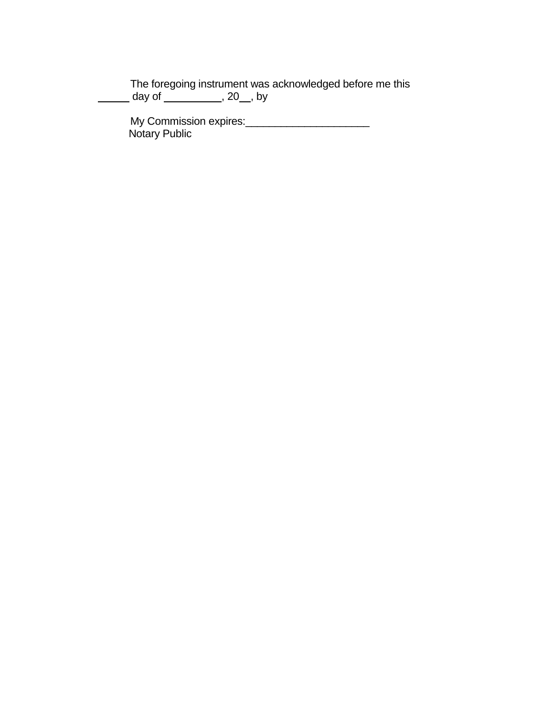The foregoing instrument was acknowledged before me this \_\_\_\_\_\_\_ day of \_\_\_\_\_\_\_\_\_\_\_, 20\_\_, by

My Commission expires:\_\_\_\_\_\_\_\_\_\_\_\_\_\_\_\_\_\_\_\_\_ Notary Public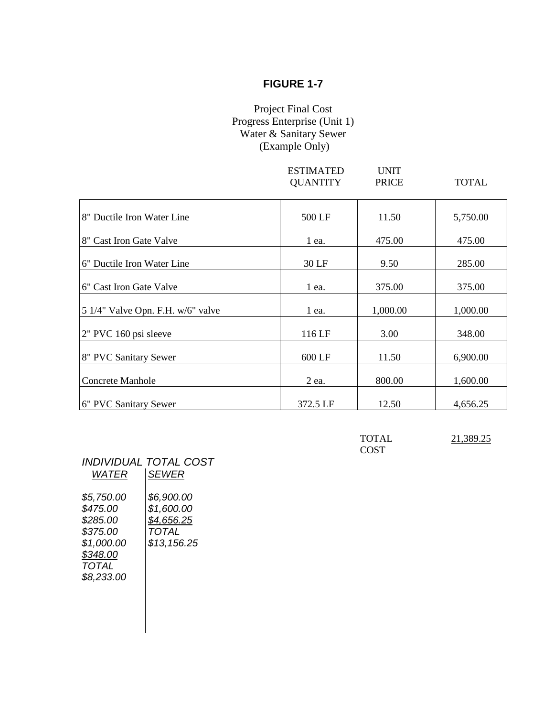## Project Final Cost Progress Enterprise (Unit 1) Water & Sanitary Sewer (Example Only)

|                                   | <b>ESTIMATED</b><br><b>QUANTITY</b> | <b>UNIT</b><br><b>PRICE</b> | <b>TOTAL</b> |
|-----------------------------------|-------------------------------------|-----------------------------|--------------|
| 8" Ductile Iron Water Line        | 500 LF                              | 11.50                       | 5,750.00     |
| 8" Cast Iron Gate Valve           | 1 ea.                               | 475.00                      | 475.00       |
| 6" Ductile Iron Water Line        | 30 LF                               | 9.50                        | 285.00       |
| 6" Cast Iron Gate Valve           | $1$ ea.                             | 375.00                      | 375.00       |
| 5 1/4" Valve Opn. F.H. w/6" valve | $1$ ea.                             | 1,000.00                    | 1,000.00     |
| 2" PVC 160 psi sleeve             | 116 LF                              | 3.00                        | 348.00       |
| 8" PVC Sanitary Sewer             | 600 LF                              | 11.50                       | 6,900.00     |
| <b>Concrete Manhole</b>           | 2 ea.                               | 800.00                      | 1,600.00     |
| 6" PVC Sanitary Sewer             | 372.5 LF                            | 12.50                       | 4,656.25     |

| <b>TOTAL</b> | 21,389.25 |
|--------------|-----------|
| <b>COST</b>  |           |

| <i>WATER</i>                                                                                    | INDIVIDUAL TOTAL COST<br><b>SEWER</b>                          |
|-------------------------------------------------------------------------------------------------|----------------------------------------------------------------|
| \$5,750.00<br>\$475.00<br>\$285.00<br>\$375.00<br>\$1,000.00<br>\$348.00<br>TOTAL<br>\$8,233.00 | \$6,900.00<br>\$1,600.00<br>\$4,656.25<br>TOTAL<br>\$13,156.25 |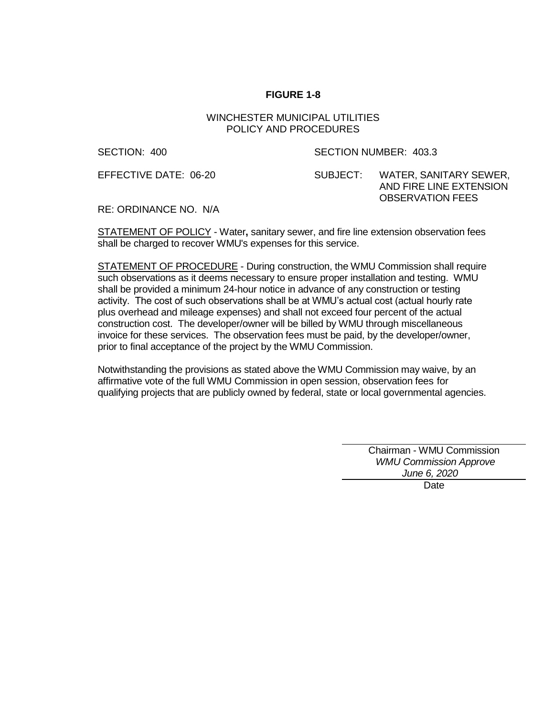#### WINCHESTER MUNICIPAL UTILITIES POLICY AND PROCEDURES

#### SECTION: 400 SECTION NUMBER: 403.3

EFFECTIVE DATE: 06-20 SUBJECT: WATER, SANITARY SEWER, AND FIRE LINE EXTENSION OBSERVATION FEES

RE: ORDINANCE NO. N/A

STATEMENT OF POLICY - Water**,** sanitary sewer, and fire line extension observation fees shall be charged to recover WMU's expenses for this service.

STATEMENT OF PROCEDURE - During construction, the WMU Commission shall require such observations as it deems necessary to ensure proper installation and testing. WMU shall be provided a minimum 24-hour notice in advance of any construction or testing activity. The cost of such observations shall be at WMU's actual cost (actual hourly rate plus overhead and mileage expenses) and shall not exceed four percent of the actual construction cost. The developer/owner will be billed by WMU through miscellaneous invoice for these services. The observation fees must be paid, by the developer/owner, prior to final acceptance of the project by the WMU Commission.

Notwithstanding the provisions as stated above the WMU Commission may waive, by an affirmative vote of the full WMU Commission in open session, observation fees for qualifying projects that are publicly owned by federal, state or local governmental agencies.

> Chairman - WMU Commission  *WMU Commission Approve June 6, 2020*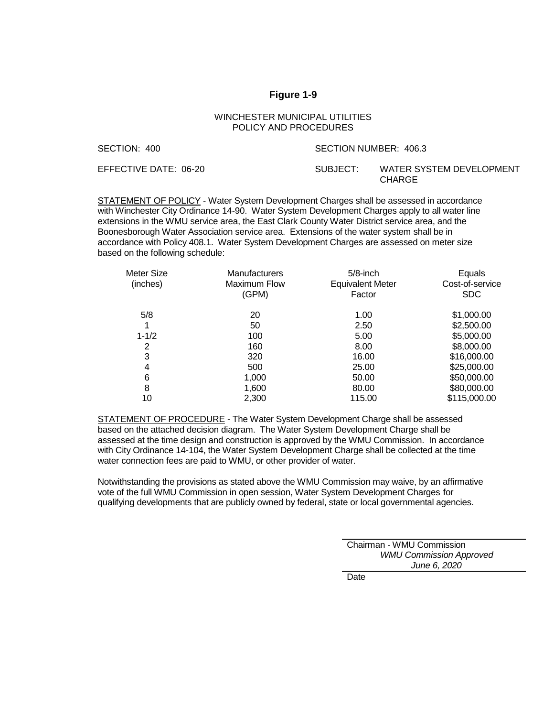#### **Figure 1-9**

#### WINCHESTER MUNICIPAL UTILITIES POLICY AND PROCEDURES

| SECTION: 400          | SECTION NUMBER: 406.3 |                                    |
|-----------------------|-----------------------|------------------------------------|
| EFFECTIVE DATE: 06-20 | SUBJECT:              | WATER SYSTEM DEVELOPMENT<br>CHARGE |

STATEMENT OF POLICY - Water System Development Charges shall be assessed in accordance with Winchester City Ordinance 14-90. Water System Development Charges apply to all water line extensions in the WMU service area, the East Clark County Water District service area, and the Boonesborough Water Association service area. Extensions of the water system shall be in accordance with Policy 408.1. Water System Development Charges are assessed on meter size based on the following schedule:

| Meter Size<br>(inches) | <b>Manufacturers</b><br><b>Maximum Flow</b><br>(GPM) | $5/8$ -inch<br><b>Equivalent Meter</b><br>Factor | Equals<br>Cost-of-service<br><b>SDC</b> |
|------------------------|------------------------------------------------------|--------------------------------------------------|-----------------------------------------|
| 5/8                    | 20                                                   | 1.00                                             | \$1,000.00                              |
| 1                      | 50                                                   | 2.50                                             | \$2,500.00                              |
| $1 - 1/2$              | 100                                                  | 5.00                                             | \$5,000.00                              |
| 2                      | 160                                                  | 8.00                                             | \$8,000.00                              |
| 3                      | 320                                                  | 16.00                                            | \$16,000.00                             |
| 4                      | 500                                                  | 25.00                                            | \$25,000.00                             |
| 6                      | 1,000                                                | 50.00                                            | \$50,000.00                             |
| 8                      | 1,600                                                | 80.00                                            | \$80,000.00                             |
| 10                     | 2.300                                                | 115.00                                           | \$115,000.00                            |

STATEMENT OF PROCEDURE - The Water System Development Charge shall be assessed based on the attached decision diagram. The Water System Development Charge shall be assessed at the time design and construction is approved by the WMU Commission. In accordance with City Ordinance 14-104, the Water System Development Charge shall be collected at the time water connection fees are paid to WMU, or other provider of water.

Notwithstanding the provisions as stated above the WMU Commission may waive, by an affirmative vote of the full WMU Commission in open session, Water System Development Charges for qualifying developments that are publicly owned by federal, state or local governmental agencies.

> Chairman - WMU Commission *WMU Commission Approved June 6, 2020*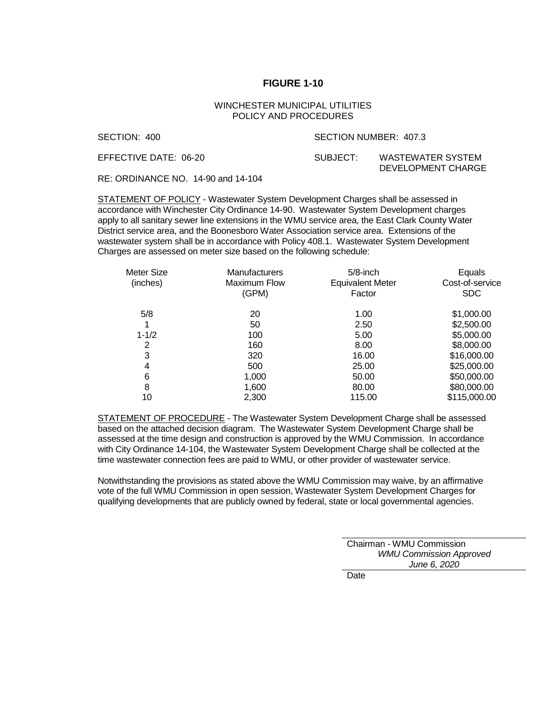#### WINCHESTER MUNICIPAL UTILITIES POLICY AND PROCEDURES

#### SECTION: 400 SECTION NUMBER: 407.3

EFFECTIVE DATE: 06-20 SUBJECT: WASTEWATER SYSTEM

DEVELOPMENT CHARGE

RE: ORDINANCE NO. 14-90 and 14-104

STATEMENT OF POLICY - Wastewater System Development Charges shall be assessed in accordance with Winchester City Ordinance 14-90. Wastewater System Development charges apply to all sanitary sewer line extensions in the WMU service area, the East Clark County Water District service area, and the Boonesboro Water Association service area. Extensions of the wastewater system shall be in accordance with Policy 408.1. Wastewater System Development Charges are assessed on meter size based on the following schedule:

| Meter Size<br>(inches) | <b>Manufacturers</b><br>Maximum Flow<br>(GPM) | $5/8$ -inch<br><b>Equivalent Meter</b><br>Factor | Equals<br>Cost-of-service<br><b>SDC</b> |
|------------------------|-----------------------------------------------|--------------------------------------------------|-----------------------------------------|
| 5/8                    | 20                                            | 1.00                                             | \$1,000.00                              |
| 1                      | 50                                            | 2.50                                             | \$2,500.00                              |
| $1 - 1/2$              | 100                                           | 5.00                                             | \$5,000.00                              |
| 2                      | 160                                           | 8.00                                             | \$8,000.00                              |
| 3                      | 320                                           | 16.00                                            | \$16,000.00                             |
| 4                      | 500                                           | 25.00                                            | \$25,000.00                             |
| 6                      | 1,000                                         | 50.00                                            | \$50,000.00                             |
| 8                      | 1,600                                         | 80.00                                            | \$80,000.00                             |
| 10                     | 2.300                                         | 115.00                                           | \$115,000.00                            |

STATEMENT OF PROCEDURE - The Wastewater System Development Charge shall be assessed based on the attached decision diagram. The Wastewater System Development Charge shall be assessed at the time design and construction is approved by the WMU Commission. In accordance with City Ordinance 14-104, the Wastewater System Development Charge shall be collected at the time wastewater connection fees are paid to WMU, or other provider of wastewater service.

Notwithstanding the provisions as stated above the WMU Commission may waive, by an affirmative vote of the full WMU Commission in open session, Wastewater System Development Charges for qualifying developments that are publicly owned by federal, state or local governmental agencies.

> Chairman - WMU Commission  *WMU Commission Approved June 6, 2020*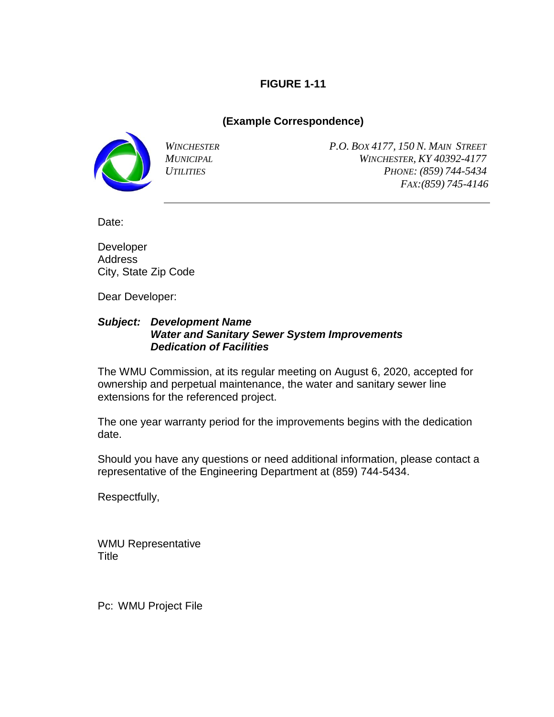## **(Example Correspondence)**



*WINCHESTER P.O. BOX 4177, 150 N. MAIN STREET MUNICIPAL WINCHESTER, KY 40392-4177 UTILITIES PHONE: (859) 744-5434 FAX:(859) 745-4146*

Date:

Developer Address City, State Zip Code

Dear Developer:

### *Subject: Development Name Water and Sanitary Sewer System Improvements Dedication of Facilities*

The WMU Commission, at its regular meeting on August 6, 2020, accepted for ownership and perpetual maintenance, the water and sanitary sewer line extensions for the referenced project.

The one year warranty period for the improvements begins with the dedication date.

Should you have any questions or need additional information, please contact a representative of the Engineering Department at (859) 744-5434.

Respectfully,

WMU Representative Title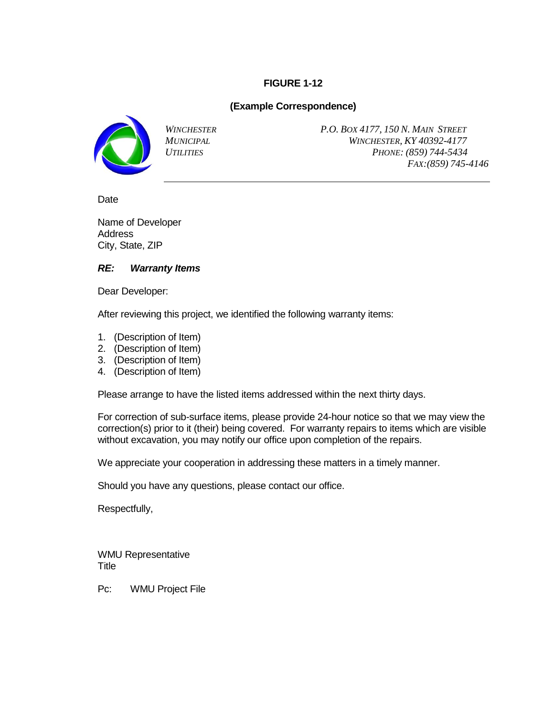### **(Example Correspondence)**



*WINCHESTER P.O. BOX 4177, 150 N. MAIN STREET MUNICIPAL WINCHESTER, KY 40392-4177 UTILITIES PHONE: (859) 744-5434 FAX:(859) 745-4146*

**Date** 

Name of Developer Address City, State, ZIP

### *RE: Warranty Items*

Dear Developer:

After reviewing this project, we identified the following warranty items:

- 1. (Description of Item)
- 2. (Description of Item)
- 3. (Description of Item)
- 4. (Description of Item)

Please arrange to have the listed items addressed within the next thirty days.

For correction of sub-surface items, please provide 24-hour notice so that we may view the correction(s) prior to it (their) being covered. For warranty repairs to items which are visible without excavation, you may notify our office upon completion of the repairs.

We appreciate your cooperation in addressing these matters in a timely manner.

Should you have any questions, please contact our office.

Respectfully,

WMU Representative **Title**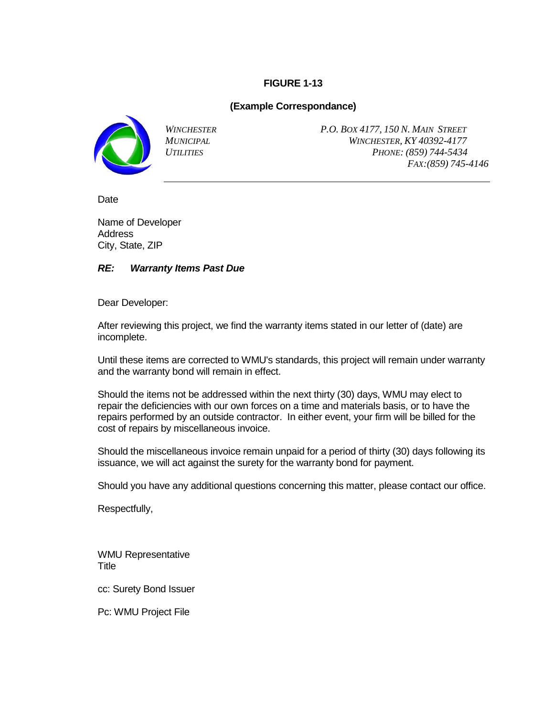### **(Example Correspondance)**



*WINCHESTER P.O. BOX 4177, 150 N. MAIN STREET MUNICIPAL WINCHESTER, KY 40392-4177 UTILITIES PHONE: (859) 744-5434 FAX:(859) 745-4146*

**Date** 

Name of Developer **Address** City, State, ZIP

### *RE: Warranty Items Past Due*

Dear Developer:

After reviewing this project, we find the warranty items stated in our letter of (date) are incomplete.

Until these items are corrected to WMU's standards, this project will remain under warranty and the warranty bond will remain in effect.

Should the items not be addressed within the next thirty (30) days, WMU may elect to repair the deficiencies with our own forces on a time and materials basis, or to have the repairs performed by an outside contractor. In either event, your firm will be billed for the cost of repairs by miscellaneous invoice.

Should the miscellaneous invoice remain unpaid for a period of thirty (30) days following its issuance, we will act against the surety for the warranty bond for payment.

Should you have any additional questions concerning this matter, please contact our office.

Respectfully,

WMU Representative **Title** 

cc: Surety Bond Issuer